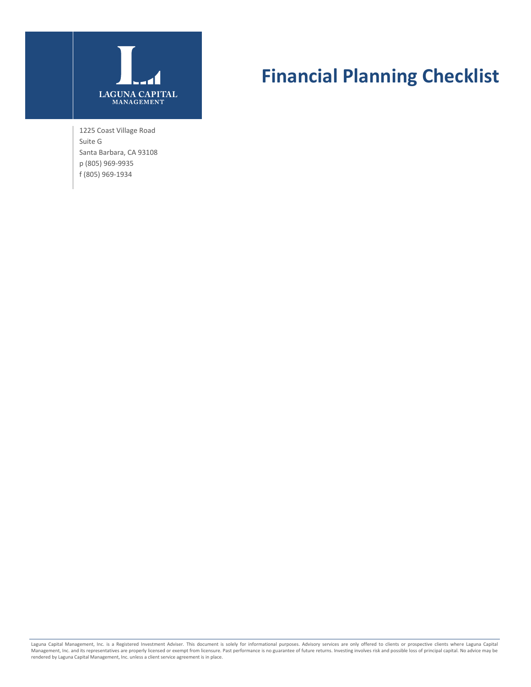

1225 Coast Village Road Suite G Santa Barbara, CA 93108 p (805) 969-9935 f (805) 969-1934

# **Financial Planning Checklist**

Laguna Capital Management, Inc. is a Registered Investment Adviser. This document is solely for informational purposes. Advisory services are only offered to clients or prospective clients where Laguna Capital<br>Management,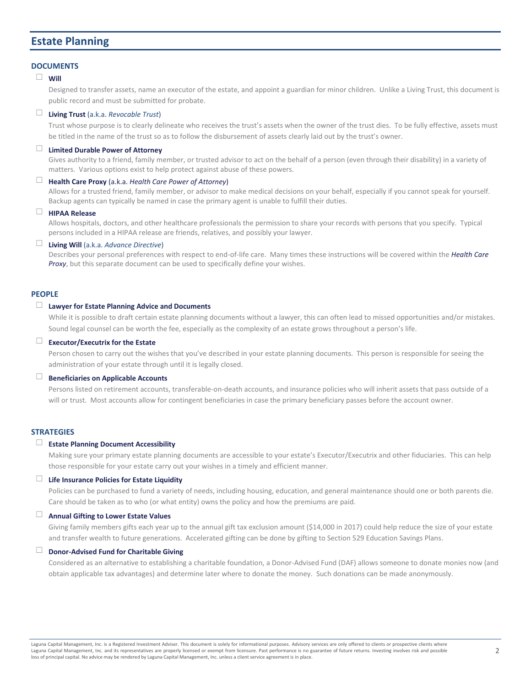# **Estate Planning**

#### **DOCUMENTS**

# ☐ **Will**

Designed to transfer assets, name an executor of the estate, and appoint a guardian for minor children. Unlike a Living Trust, this document is public record and must be submitted for probate.

# ☐ **Living Trust** (a.k.a. *Revocable Trust*)

Trust whose purpose is to clearly delineate who receives the trust's assets when the owner of the trust dies. To be fully effective, assets must be titled in the name of the trust so as to follow the disbursement of assets clearly laid out by the trust's owner.

# ☐ **Limited Durable Power of Attorney**

Gives authority to a friend, family member, or trusted advisor to act on the behalf of a person (even through their disability) in a variety of matters. Various options exist to help protect against abuse of these powers.

# ☐ **Health Care Proxy** (a.k.a. *Health Care Power of Attorney*)

Allows for a trusted friend, family member, or advisor to make medical decisions on your behalf, especially if you cannot speak for yourself. Backup agents can typically be named in case the primary agent is unable to fulfill their duties.

# ☐ **HIPAA Release**

Allows hospitals, doctors, and other healthcare professionals the permission to share your records with persons that you specify. Typical persons included in a HIPAA release are friends, relatives, and possibly your lawyer.

#### ☐ **Living Will** (a.k.a. *Advance Directive*)

Describes your personal preferences with respect to end-of-life care. Many times these instructions will be covered within the *Health Care Proxy*, but this separate document can be used to specifically define your wishes.

# **PEOPLE**

# ☐ **Lawyer for Estate Planning Advice and Documents**

While it is possible to draft certain estate planning documents without a lawyer, this can often lead to missed opportunities and/or mistakes. Sound legal counsel can be worth the fee, especially as the complexity of an estate grows throughout a person's life.

# ☐ **Executor/Executrix for the Estate**

Person chosen to carry out the wishes that you've described in your estate planning documents. This person is responsible for seeing the administration of your estate through until it is legally closed.

# ☐ **Beneficiaries on Applicable Accounts**

Persons listed on retirement accounts, transferable-on-death accounts, and insurance policies who will inherit assets that pass outside of a will or trust. Most accounts allow for contingent beneficiaries in case the primary beneficiary passes before the account owner.

#### **STRATEGIES**

# ☐ **Estate Planning Document Accessibility**

Making sure your primary estate planning documents are accessible to your estate's Executor/Executrix and other fiduciaries. This can help those responsible for your estate carry out your wishes in a timely and efficient manner.

# ☐ **Life Insurance Policies for Estate Liquidity**

Policies can be purchased to fund a variety of needs, including housing, education, and general maintenance should one or both parents die. Care should be taken as to who (or what entity) owns the policy and how the premiums are paid.

## ☐ **Annual Gifting to Lower Estate Values**

Giving family members gifts each year up to the annual gift tax exclusion amount (\$14,000 in 2017) could help reduce the size of your estate and transfer wealth to future generations. Accelerated gifting can be done by gifting to Section 529 Education Savings Plans.

# ☐ **Donor-Advised Fund for Charitable Giving**

Considered as an alternative to establishing a charitable foundation, a Donor-Advised Fund (DAF) allows someone to donate monies now (and obtain applicable tax advantages) and determine later where to donate the money. Such donations can be made anonymously.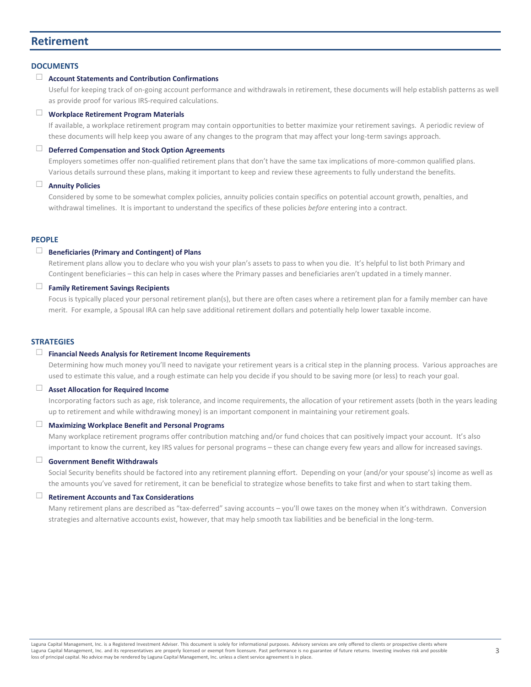# **Retirement**

#### **DOCUMENTS**

# ☐ **Account Statements and Contribution Confirmations**

Useful for keeping track of on-going account performance and withdrawals in retirement, these documents will help establish patterns as well as provide proof for various IRS-required calculations.

#### ☐ **Workplace Retirement Program Materials**

If available, a workplace retirement program may contain opportunities to better maximize your retirement savings. A periodic review of these documents will help keep you aware of any changes to the program that may affect your long-term savings approach.

# ☐ **Deferred Compensation and Stock Option Agreements**

Employers sometimes offer non-qualified retirement plans that don't have the same tax implications of more-common qualified plans. Various details surround these plans, making it important to keep and review these agreements to fully understand the benefits.

# ☐ **Annuity Policies**

Considered by some to be somewhat complex policies, annuity policies contain specifics on potential account growth, penalties, and withdrawal timelines. It is important to understand the specifics of these policies *before* entering into a contract.

#### **PEOPLE**

#### ☐ **Beneficiaries (Primary and Contingent) of Plans**

Retirement plans allow you to declare who you wish your plan's assets to pass to when you die. It's helpful to list both Primary and Contingent beneficiaries – this can help in cases where the Primary passes and beneficiaries aren't updated in a timely manner.

# ☐ **Family Retirement Savings Recipients**

Focus is typically placed your personal retirement plan(s), but there are often cases where a retirement plan for a family member can have merit. For example, a Spousal IRA can help save additional retirement dollars and potentially help lower taxable income.

#### **STRATEGIES**

#### ☐ **Financial Needs Analysis for Retirement Income Requirements**

Determining how much money you'll need to navigate your retirement years is a critical step in the planning process. Various approaches are used to estimate this value, and a rough estimate can help you decide if you should to be saving more (or less) to reach your goal.

# ☐ **Asset Allocation for Required Income**

Incorporating factors such as age, risk tolerance, and income requirements, the allocation of your retirement assets (both in the years leading up to retirement and while withdrawing money) is an important component in maintaining your retirement goals.

#### ☐ **Maximizing Workplace Benefit and Personal Programs**

Many workplace retirement programs offer contribution matching and/or fund choices that can positively impact your account. It's also important to know the current, key IRS values for personal programs – these can change every few years and allow for increased savings.

# ☐ **Government Benefit Withdrawals**

Social Security benefits should be factored into any retirement planning effort. Depending on your (and/or your spouse's) income as well as the amounts you've saved for retirement, it can be beneficial to strategize whose benefits to take first and when to start taking them.

# ☐ **Retirement Accounts and Tax Considerations**

Many retirement plans are described as "tax-deferred" saving accounts – you'll owe taxes on the money when it's withdrawn. Conversion strategies and alternative accounts exist, however, that may help smooth tax liabilities and be beneficial in the long-term.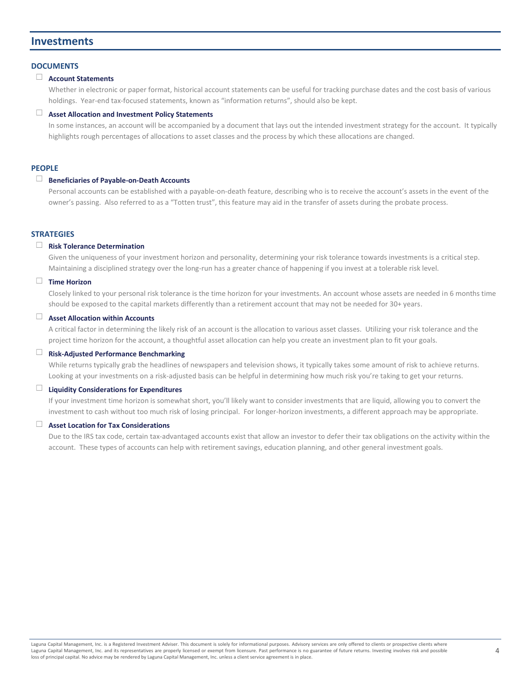# **Investments**

#### **DOCUMENTS**

#### ☐ **Account Statements**

Whether in electronic or paper format, historical account statements can be useful for tracking purchase dates and the cost basis of various holdings. Year-end tax-focused statements, known as "information returns", should also be kept.

#### ☐ **Asset Allocation and Investment Policy Statements**

In some instances, an account will be accompanied by a document that lays out the intended investment strategy for the account. It typically highlights rough percentages of allocations to asset classes and the process by which these allocations are changed.

# **PEOPLE**

# ☐ **Beneficiaries of Payable-on-Death Accounts**

Personal accounts can be established with a payable-on-death feature, describing who is to receive the account's assets in the event of the owner's passing. Also referred to as a "Totten trust", this feature may aid in the transfer of assets during the probate process.

# **STRATEGIES**

# ☐ **Risk Tolerance Determination**

Given the uniqueness of your investment horizon and personality, determining your risk tolerance towards investments is a critical step. Maintaining a disciplined strategy over the long-run has a greater chance of happening if you invest at a tolerable risk level.

# ☐ **Time Horizon**

Closely linked to your personal risk tolerance is the time horizon for your investments. An account whose assets are needed in 6 months time should be exposed to the capital markets differently than a retirement account that may not be needed for 30+ years.

# ☐ **Asset Allocation within Accounts**

A critical factor in determining the likely risk of an account is the allocation to various asset classes. Utilizing your risk tolerance and the project time horizon for the account, a thoughtful asset allocation can help you create an investment plan to fit your goals.

# ☐ **Risk-Adjusted Performance Benchmarking**

While returns typically grab the headlines of newspapers and television shows, it typically takes some amount of risk to achieve returns. Looking at your investments on a risk-adjusted basis can be helpful in determining how much risk you're taking to get your returns.

#### ☐ **Liquidity Considerations for Expenditures**

If your investment time horizon is somewhat short, you'll likely want to consider investments that are liquid, allowing you to convert the investment to cash without too much risk of losing principal. For longer-horizon investments, a different approach may be appropriate.

# ☐ **Asset Location for Tax Considerations**

Due to the IRS tax code, certain tax-advantaged accounts exist that allow an investor to defer their tax obligations on the activity within the account. These types of accounts can help with retirement savings, education planning, and other general investment goals.